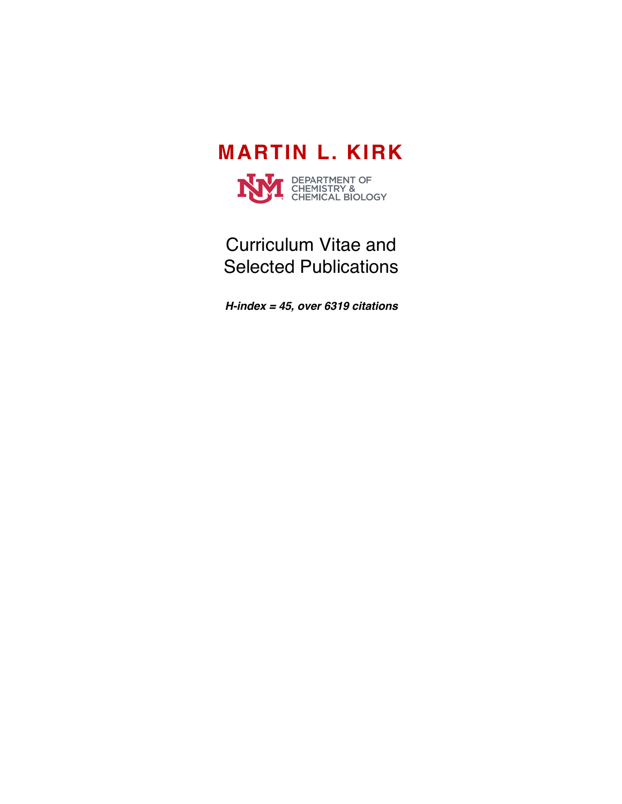



# Curriculum Vitae and Selected Publications

*H-index = 45, over 6319 citations*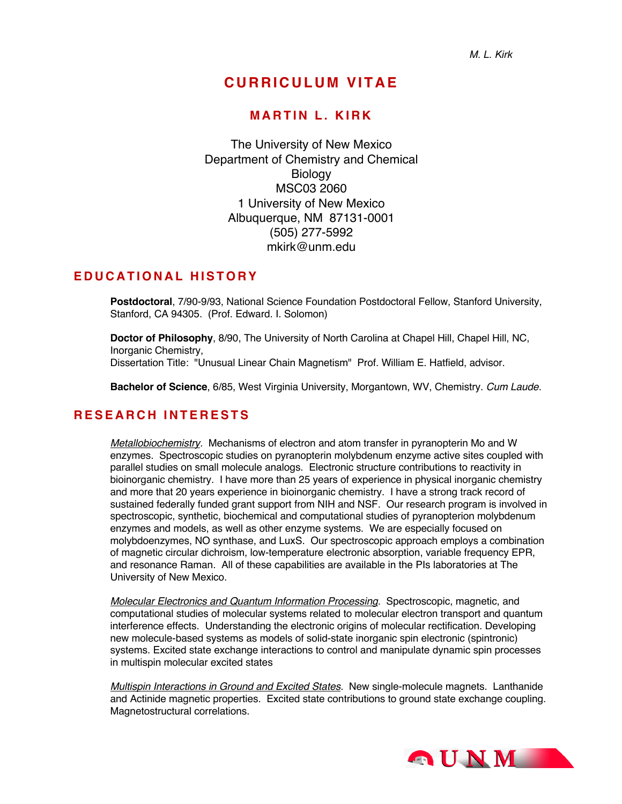## **CURRICULUM VITAE**

#### **MARTIN L. KIRK**

The University of New Mexico Department of Chemistry and Chemical **Biology** MSC03 2060 1 University of New Mexico Albuquerque, NM 87131-0001 (505) 277-5992 mkirk@unm.edu

#### **EDUCATIONAL HISTORY**

**Postdoctoral**, 7/90-9/93, National Science Foundation Postdoctoral Fellow, Stanford University, Stanford, CA 94305. (Prof. Edward. I. Solomon)

**Doctor of Philosophy**, 8/90, The University of North Carolina at Chapel Hill, Chapel Hill, NC, Inorganic Chemistry, Dissertation Title: "Unusual Linear Chain Magnetism" Prof. William E. Hatfield, advisor.

**Bachelor of Science**, 6/85, West Virginia University, Morgantown, WV, Chemistry. *Cum Laude.*

### **RESEARCH INTERESTS**

*Metallobiochemistry.* Mechanisms of electron and atom transfer in pyranopterin Mo and W enzymes. Spectroscopic studies on pyranopterin molybdenum enzyme active sites coupled with parallel studies on small molecule analogs. Electronic structure contributions to reactivity in bioinorganic chemistry. I have more than 25 years of experience in physical inorganic chemistry and more that 20 years experience in bioinorganic chemistry. I have a strong track record of sustained federally funded grant support from NIH and NSF. Our research program is involved in spectroscopic, synthetic, biochemical and computational studies of pyranopterion molybdenum enzymes and models, as well as other enzyme systems. We are especially focused on molybdoenzymes, NO synthase, and LuxS. Our spectroscopic approach employs a combination of magnetic circular dichroism, low-temperature electronic absorption, variable frequency EPR, and resonance Raman. All of these capabilities are available in the PIs laboratories at The University of New Mexico.

*Molecular Electronics and Quantum Information Processing.* Spectroscopic, magnetic, and computational studies of molecular systems related to molecular electron transport and quantum interference effects. Understanding the electronic origins of molecular rectification. Developing new molecule-based systems as models of solid-state inorganic spin electronic (spintronic) systems. Excited state exchange interactions to control and manipulate dynamic spin processes in multispin molecular excited states

*Multispin Interactions in Ground and Excited States.* New single-molecule magnets. Lanthanide and Actinide magnetic properties. Excited state contributions to ground state exchange coupling. Magnetostructural correlations.

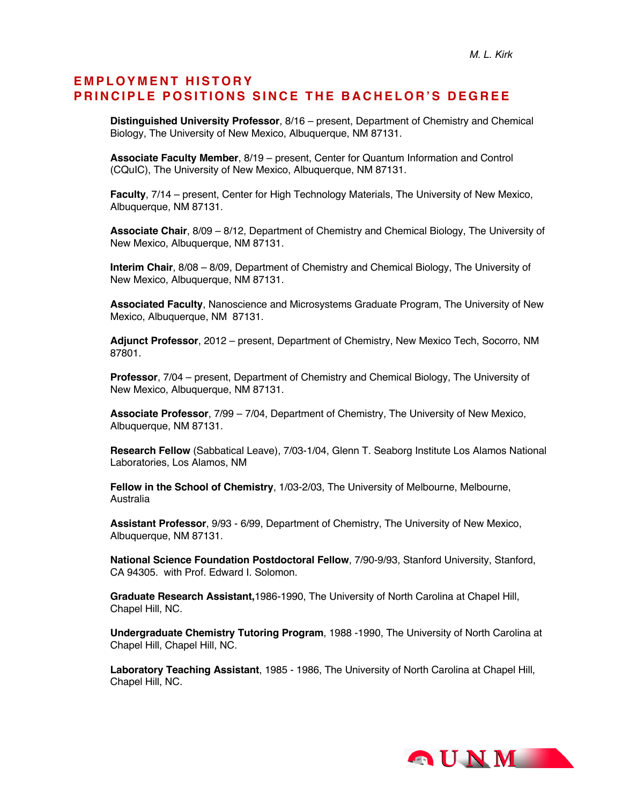#### **EMPLOYMENT HISTOR Y PRINCIPLE POSITIONS SINCE THE BACHELOR'S DEGREE**

**Distinguished University Professor**, 8/16 – present, Department of Chemistry and Chemical Biology, The University of New Mexico, Albuquerque, NM 87131.

**Associate Faculty Member**, 8/19 – present, Center for Quantum Information and Control (CQuIC), The University of New Mexico, Albuquerque, NM 87131.

**Faculty**, 7/14 – present, Center for High Technology Materials, The University of New Mexico, Albuquerque, NM 87131.

**Associate Chair**, 8/09 – 8/12, Department of Chemistry and Chemical Biology, The University of New Mexico, Albuquerque, NM 87131.

**Interim Chair**, 8/08 – 8/09, Department of Chemistry and Chemical Biology, The University of New Mexico, Albuquerque, NM 87131.

**Associated Faculty**, Nanoscience and Microsystems Graduate Program, The University of New Mexico, Albuquerque, NM 87131.

**Adjunct Professor**, 2012 – present, Department of Chemistry, New Mexico Tech, Socorro, NM 87801.

**Professor**, 7/04 – present, Department of Chemistry and Chemical Biology, The University of New Mexico, Albuquerque, NM 87131.

**Associate Professor**, 7/99 – 7/04, Department of Chemistry, The University of New Mexico, Albuquerque, NM 87131.

**Research Fellow** (Sabbatical Leave), 7/03-1/04, Glenn T. Seaborg Institute Los Alamos National Laboratories, Los Alamos, NM

**Fellow in the School of Chemistry**, 1/03-2/03, The University of Melbourne, Melbourne, Australia

**Assistant Professor**, 9/93 - 6/99, Department of Chemistry, The University of New Mexico, Albuquerque, NM 87131.

**National Science Foundation Postdoctoral Fellow**, 7/90-9/93, Stanford University, Stanford, CA 94305. with Prof. Edward I. Solomon.

**Graduate Research Assistant,**1986-1990, The University of North Carolina at Chapel Hill, Chapel Hill, NC.

**Undergraduate Chemistry Tutoring Program**, 1988 -1990, The University of North Carolina at Chapel Hill, Chapel Hill, NC.

**Laboratory Teaching Assistant**, 1985 - 1986, The University of North Carolina at Chapel Hill, Chapel Hill, NC.

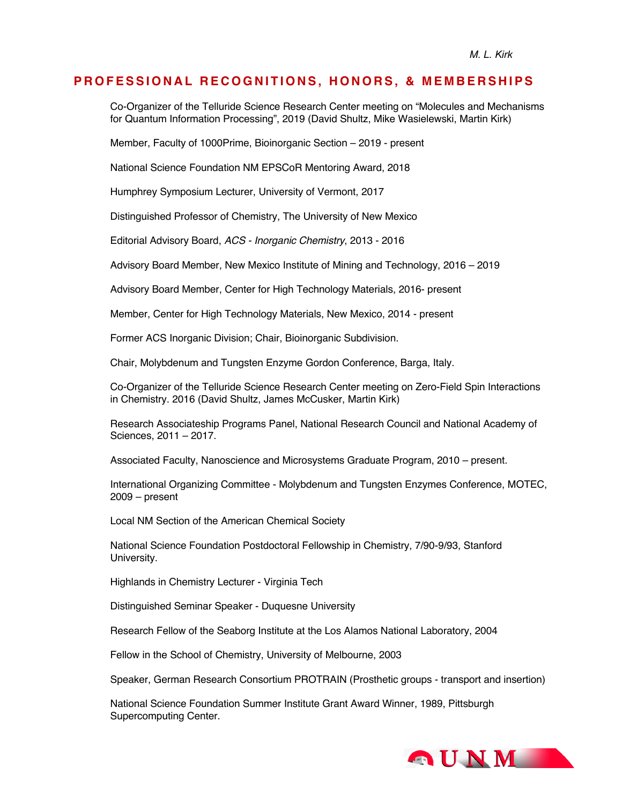#### **PROFESSIONAL RECOGNITIONS, HONORS, & MEMBERSHIPS**

Co-Organizer of the Telluride Science Research Center meeting on "Molecules and Mechanisms for Quantum Information Processing", 2019 (David Shultz, Mike Wasielewski, Martin Kirk)

Member, Faculty of 1000Prime, Bioinorganic Section – 2019 - present

National Science Foundation NM EPSCoR Mentoring Award, 2018

Humphrey Symposium Lecturer, University of Vermont, 2017

Distinguished Professor of Chemistry, The University of New Mexico

Editorial Advisory Board, *ACS - Inorganic Chemistry*, 2013 - 2016

Advisory Board Member, New Mexico Institute of Mining and Technology, 2016 – 2019

Advisory Board Member, Center for High Technology Materials, 2016- present

Member, Center for High Technology Materials, New Mexico, 2014 - present

Former ACS Inorganic Division; Chair, Bioinorganic Subdivision.

Chair, Molybdenum and Tungsten Enzyme Gordon Conference, Barga, Italy.

Co-Organizer of the Telluride Science Research Center meeting on Zero-Field Spin Interactions in Chemistry. 2016 (David Shultz, James McCusker, Martin Kirk)

Research Associateship Programs Panel, National Research Council and National Academy of Sciences, 2011 – 2017.

Associated Faculty, Nanoscience and Microsystems Graduate Program, 2010 – present.

International Organizing Committee - Molybdenum and Tungsten Enzymes Conference, MOTEC, 2009 – present

Local NM Section of the American Chemical Society

National Science Foundation Postdoctoral Fellowship in Chemistry, 7/90-9/93, Stanford University.

Highlands in Chemistry Lecturer - Virginia Tech

Distinguished Seminar Speaker - Duquesne University

Research Fellow of the Seaborg Institute at the Los Alamos National Laboratory, 2004

Fellow in the School of Chemistry, University of Melbourne, 2003

Speaker, German Research Consortium PROTRAIN (Prosthetic groups - transport and insertion)

National Science Foundation Summer Institute Grant Award Winner, 1989, Pittsburgh Supercomputing Center.